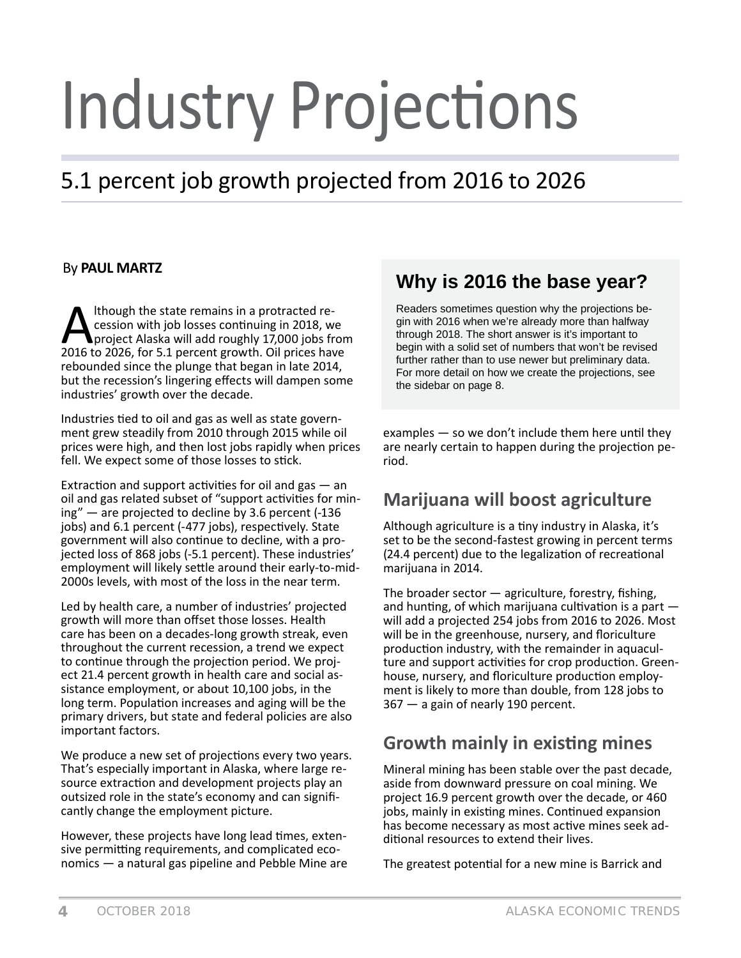# **Industry Projections**

# 5.1 percent job growth projected from 2016 to 2026

#### By **PAUL MARTZ**

Although the state remains in a protracted recession with job losses continuing in 2018, we<br>project Alaska will add roughly 17,000 jobs from<br>2016 to 2026, for 5.1 percent growth. Oil prices have cession with job losses continuing in 2018, we project Alaska will add roughly 17,000 jobs from rebounded since the plunge that began in late 2014, but the recession's lingering effects will dampen some industries' growth over the decade.

Industries tied to oil and gas as well as state government grew steadily from 2010 through 2015 while oil prices were high, and then lost jobs rapidly when prices fell. We expect some of those losses to stick.

Extraction and support activities for oil and gas  $-$  an oil and gas related subset of "support activities for mining" — are projected to decline by 3.6 percent (-136 jobs) and 6.1 percent (-477 jobs), respectively. State government will also continue to decline, with a projected loss of 868 jobs (-5.1 percent). These industries' employment will likely settle around their early-to-mid-2000s levels, with most of the loss in the near term.

Led by health care, a number of industries' projected growth will more than offset those losses. Health care has been on a decades-long growth streak, even throughout the current recession, a trend we expect to continue through the projection period. We project 21.4 percent growth in health care and social assistance employment, or about 10,100 jobs, in the long term. Population increases and aging will be the primary drivers, but state and federal policies are also important factors.

We produce a new set of projections every two years. That's especially important in Alaska, where large resource extraction and development projects play an outsized role in the state's economy and can significantly change the employment picture.

However, these projects have long lead times, extensive permitting requirements, and complicated economics — a natural gas pipeline and Pebble Mine are

# **Why is 2016 the base year?**

Readers sometimes question why the projections begin with 2016 when we're already more than halfway through 2018. The short answer is it's important to begin with a solid set of numbers that won't be revised further rather than to use newer but preliminary data. For more detail on how we create the projections, see the sidebar on page 8.

examples  $-$  so we don't include them here until they are nearly certain to happen during the projection period.

# **Marijuana will boost agriculture**

Although agriculture is a tiny industry in Alaska, it's set to be the second-fastest growing in percent terms (24.4 percent) due to the legalization of recreational marijuana in 2014.

The broader sector  $-$  agriculture, forestry, fishing, and hunting, of which marijuana cultivation is a part  $$ will add a projected 254 jobs from 2016 to 2026. Most will be in the greenhouse, nursery, and floriculture production industry, with the remainder in aquaculture and support activities for crop production. Greenhouse, nursery, and floriculture production employment is likely to more than double, from 128 jobs to 367 — a gain of nearly 190 percent.

# **Growth mainly in existing mines**

Mineral mining has been stable over the past decade, aside from downward pressure on coal mining. We project 16.9 percent growth over the decade, or 460 jobs, mainly in existing mines. Continued expansion has become necessary as most active mines seek additional resources to extend their lives.

The greatest potential for a new mine is Barrick and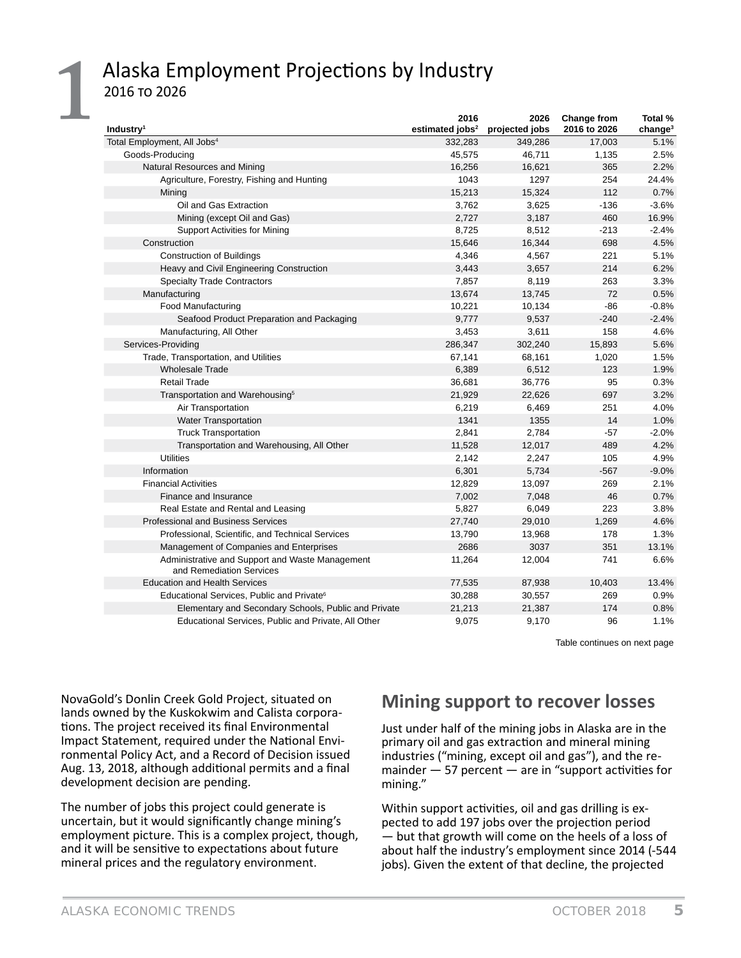# Alaska Employment Projections by Industry 2016 To 2026

| Industry <sup>1</sup>                                                       | 2016<br>estimated jobs <sup>2</sup> | 2026<br>projected jobs | Change from<br>2016 to 2026 | Total %<br>change <sup>3</sup> |
|-----------------------------------------------------------------------------|-------------------------------------|------------------------|-----------------------------|--------------------------------|
| Total Employment, All Jobs <sup>4</sup>                                     | 332,283                             | 349,286                | 17,003                      | 5.1%                           |
| Goods-Producing                                                             | 45,575                              | 46,711                 | 1,135                       | 2.5%                           |
| Natural Resources and Mining                                                | 16,256                              | 16,621                 | 365                         | 2.2%                           |
| Agriculture, Forestry, Fishing and Hunting                                  | 1043                                | 1297                   | 254                         | 24.4%                          |
| Mining                                                                      | 15,213                              | 15,324                 | 112                         | 0.7%                           |
| Oil and Gas Extraction                                                      | 3,762                               | 3,625                  | $-136$                      | $-3.6%$                        |
| Mining (except Oil and Gas)                                                 | 2,727                               | 3,187                  | 460                         | 16.9%                          |
| <b>Support Activities for Mining</b>                                        | 8,725                               | 8,512                  | $-213$                      | $-2.4%$                        |
| Construction                                                                | 15,646                              | 16,344                 | 698                         | 4.5%                           |
| <b>Construction of Buildings</b>                                            | 4,346                               | 4,567                  | 221                         | 5.1%                           |
| Heavy and Civil Engineering Construction                                    | 3,443                               | 3,657                  | 214                         | 6.2%                           |
| <b>Specialty Trade Contractors</b>                                          | 7,857                               | 8,119                  | 263                         | 3.3%                           |
| Manufacturing                                                               | 13,674                              | 13,745                 | 72                          | 0.5%                           |
| <b>Food Manufacturing</b>                                                   | 10,221                              | 10,134                 | -86                         | $-0.8%$                        |
| Seafood Product Preparation and Packaging                                   | 9,777                               | 9,537                  | $-240$                      | $-2.4%$                        |
| Manufacturing, All Other                                                    | 3,453                               | 3,611                  | 158                         | 4.6%                           |
| Services-Providing                                                          | 286,347                             | 302,240                | 15,893                      | 5.6%                           |
| Trade, Transportation, and Utilities                                        | 67,141                              | 68,161                 | 1,020                       | 1.5%                           |
| <b>Wholesale Trade</b>                                                      | 6,389                               | 6,512                  | 123                         | 1.9%                           |
| <b>Retail Trade</b>                                                         | 36,681                              | 36,776                 | 95                          | 0.3%                           |
| Transportation and Warehousing <sup>5</sup>                                 | 21,929                              | 22,626                 | 697                         | 3.2%                           |
| Air Transportation                                                          | 6,219                               | 6,469                  | 251                         | 4.0%                           |
| <b>Water Transportation</b>                                                 | 1341                                | 1355                   | 14                          | 1.0%                           |
| <b>Truck Transportation</b>                                                 | 2,841                               | 2,784                  | $-57$                       | $-2.0%$                        |
| Transportation and Warehousing, All Other                                   | 11,528                              | 12,017                 | 489                         | 4.2%                           |
| <b>Utilities</b>                                                            | 2,142                               | 2,247                  | 105                         | 4.9%                           |
| Information                                                                 | 6,301                               | 5,734                  | $-567$                      | $-9.0%$                        |
| <b>Financial Activities</b>                                                 | 12,829                              | 13,097                 | 269                         | 2.1%                           |
| Finance and Insurance                                                       | 7,002                               | 7,048                  | 46                          | 0.7%                           |
| Real Estate and Rental and Leasing                                          | 5,827                               | 6,049                  | 223                         | 3.8%                           |
| <b>Professional and Business Services</b>                                   | 27,740                              | 29,010                 | 1,269                       | 4.6%                           |
| Professional, Scientific, and Technical Services                            | 13,790                              | 13,968                 | 178                         | 1.3%                           |
| Management of Companies and Enterprises                                     | 2686                                | 3037                   | 351                         | 13.1%                          |
| Administrative and Support and Waste Management<br>and Remediation Services | 11,264                              | 12,004                 | 741                         | 6.6%                           |
| <b>Education and Health Services</b>                                        | 77,535                              | 87,938                 | 10,403                      | 13.4%                          |
| Educational Services, Public and Private <sup>6</sup>                       | 30,288                              | 30,557                 | 269                         | 0.9%                           |
| Elementary and Secondary Schools, Public and Private                        | 21,213                              | 21,387                 | 174                         | 0.8%                           |
| Educational Services, Public and Private, All Other                         | 9,075                               | 9,170                  | 96                          | 1.1%                           |

Table continues on next page

NovaGold's Donlin Creek Gold Project, situated on lands owned by the Kuskokwim and Calista corporations. The project received its final Environmental Impact Statement, required under the National Environmental Policy Act, and a Record of Decision issued Aug. 13, 2018, although additional permits and a final development decision are pending.

The number of jobs this project could generate is uncertain, but it would significantly change mining's employment picture. This is a complex project, though, and it will be sensitive to expectations about future mineral prices and the regulatory environment.

# **Mining support to recover losses**

Just under half of the mining jobs in Alaska are in the primary oil and gas extraction and mineral mining industries ("mining, except oil and gas"), and the remainder  $-57$  percent  $-$  are in "support activities for mining."

Within support activities, oil and gas drilling is expected to add 197 jobs over the projection period — but that growth will come on the heels of a loss of about half the industry's employment since 2014 (-544 jobs). Given the extent of that decline, the projected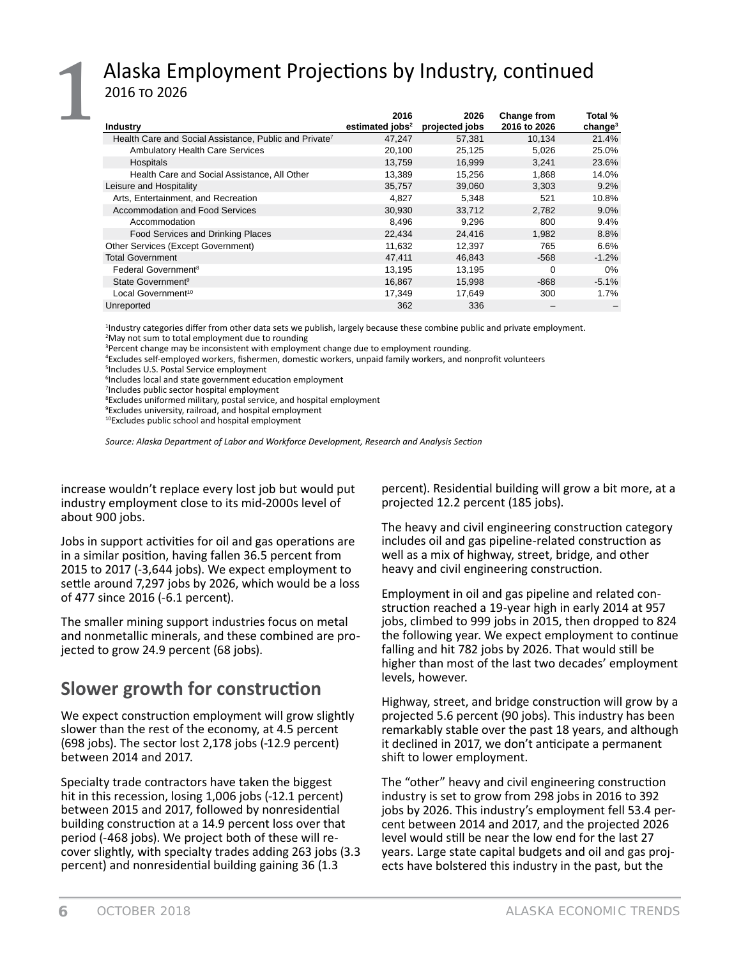# Alaska Employment Projections by Industry, continued 2016 то 2026

| <b>Industry</b>                                                    | 2016<br>estimated jobs <sup>2</sup> | 2026<br>projected jobs | <b>Change from</b><br>2016 to 2026 | Total %<br>change <sup>3</sup> |
|--------------------------------------------------------------------|-------------------------------------|------------------------|------------------------------------|--------------------------------|
| Health Care and Social Assistance, Public and Private <sup>7</sup> | 47,247                              | 57,381                 | 10.134                             | 21.4%                          |
| <b>Ambulatory Health Care Services</b>                             | 20,100                              | 25,125                 | 5,026                              | 25.0%                          |
| Hospitals                                                          | 13.759                              | 16.999                 | 3.241                              | 23.6%                          |
| Health Care and Social Assistance, All Other                       | 13.389                              | 15.256                 | 1.868                              | 14.0%                          |
| Leisure and Hospitality                                            | 35,757                              | 39.060                 | 3.303                              | 9.2%                           |
| Arts, Entertainment, and Recreation                                | 4,827                               | 5,348                  | 521                                | 10.8%                          |
| Accommodation and Food Services                                    | 30,930                              | 33,712                 | 2.782                              | $9.0\%$                        |
| Accommodation                                                      | 8.496                               | 9.296                  | 800                                | $9.4\%$                        |
| Food Services and Drinking Places                                  | 22,434                              | 24,416                 | 1,982                              | 8.8%                           |
| Other Services (Except Government)                                 | 11,632                              | 12,397                 | 765                                | $6.6\%$                        |
| <b>Total Government</b>                                            | 47.411                              | 46.843                 | $-568$                             | $-1.2%$                        |
| Federal Government <sup>8</sup>                                    | 13,195                              | 13,195                 | 0                                  | 0%                             |
| State Government <sup>9</sup>                                      | 16,867                              | 15.998                 | $-868$                             | $-5.1%$                        |
| Local Government <sup>10</sup>                                     | 17.349                              | 17.649                 | 300                                | $1.7\%$                        |
| Unreported                                                         | 362                                 | 336                    |                                    |                                |

<sup>1</sup>Industry categories differ from other data sets we publish, largely because these combine public and private employment. <sup>2</sup>May not sum to total employment due to rounding

<sup>4</sup>Excludes self-employed workers, fishermen, domestic workers, unpaid family workers, and nonprofit volunteers

<sup>5</sup>Includes U.S. Postal Service employment

<sup>6</sup>Includes local and state government education employment

<sup>7</sup>Includes public sector hospital employment

<sup>8</sup>Excludes uniformed military, postal service, and hospital employment

<sup>9</sup> Excludes university, railroad, and hospital employment

<sup>10</sup>Excludes public school and hospital employment

Source: Alaska Department of Labor and Workforce Development, Research and Analysis Section

increase wouldn't replace every lost job but would put industry employment close to its mid-2000s level of about 900 jobs.

Jobs in support activities for oil and gas operations are in a similar position, having fallen 36.5 percent from 2015 to 2017 (-3,644 jobs). We expect employment to settle around 7,297 jobs by 2026, which would be a loss of 477 since 2016 (-6.1 percent).

The smaller mining support industries focus on metal and nonmetallic minerals, and these combined are projected to grow 24.9 percent (68 jobs).

# Slower growth for construction

We expect construction employment will grow slightly slower than the rest of the economy, at 4.5 percent (698 jobs). The sector lost 2,178 jobs (-12.9 percent) between 2014 and 2017.

Specialty trade contractors have taken the biggest hit in this recession, losing 1,006 jobs (-12.1 percent) between 2015 and 2017, followed by nonresidential building construction at a 14.9 percent loss over that period (-468 jobs). We project both of these will recover slightly, with specialty trades adding 263 jobs (3.3) percent) and nonresidential building gaining 36 (1.3

percent). Residential building will grow a bit more, at a projected 12.2 percent (185 jobs).

The heavy and civil engineering construction category includes oil and gas pipeline-related construction as well as a mix of highway, street, bridge, and other heavy and civil engineering construction.

Employment in oil and gas pipeline and related construction reached a 19-year high in early 2014 at 957 jobs, climbed to 999 jobs in 2015, then dropped to 824 the following year. We expect employment to continue falling and hit 782 jobs by 2026. That would still be higher than most of the last two decades' employment levels, however.

Highway, street, and bridge construction will grow by a projected 5.6 percent (90 jobs). This industry has been remarkably stable over the past 18 years, and although it declined in 2017, we don't anticipate a permanent shift to lower employment.

The "other" heavy and civil engineering construction industry is set to grow from 298 jobs in 2016 to 392 jobs by 2026. This industry's employment fell 53.4 percent between 2014 and 2017, and the projected 2026 level would still be near the low end for the last 27 years. Large state capital budgets and oil and gas projects have bolstered this industry in the past, but the

<sup>&</sup>lt;sup>3</sup>Percent change may be inconsistent with employment change due to employment rounding.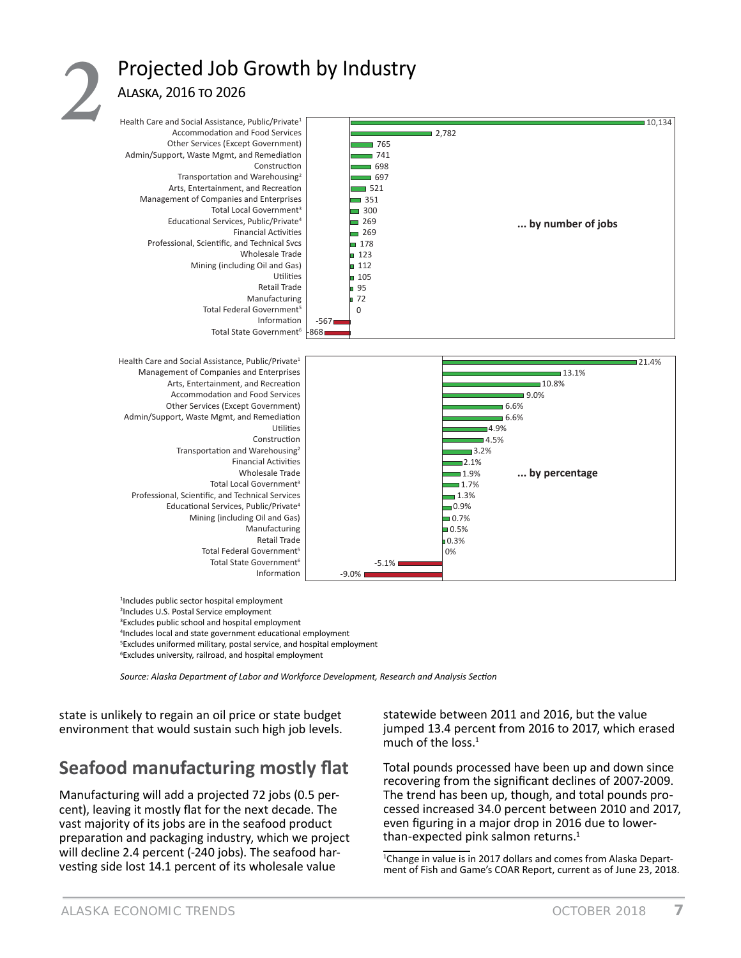# Projected Job Growth by Industry ALASKA, 2016 TO 2026



<sup>1</sup>Includes public sector hospital employment <sup>2</sup>Includes U.S. Postal Service employment <sup>3</sup>Excludes public school and hospital employment <sup>4</sup>Includes local and state government educational employment <sup>5</sup>Excludes uniformed military, postal service, and hospital employment <sup>6</sup>Excludes university, railroad, and hospital employment

Source: Alaska Department of Labor and Workforce Development, Research and Analysis Section

state is unlikely to regain an oil price or state budget environment that would sustain such high job levels.

# Seafood manufacturing mostly flat

Manufacturing will add a projected 72 jobs (0.5 percent), leaving it mostly flat for the next decade. The vast majority of its jobs are in the seafood product preparation and packaging industry, which we project will decline 2.4 percent (-240 jobs). The seafood harvesting side lost 14.1 percent of its wholesale value

statewide between 2011 and 2016, but the value jumped 13.4 percent from 2016 to 2017, which erased much of the loss.<sup>1</sup>

Total pounds processed have been up and down since recovering from the significant declines of 2007-2009. The trend has been up, though, and total pounds processed increased 34.0 percent between 2010 and 2017, even figuring in a major drop in 2016 due to lowerthan-expected pink salmon returns.<sup>1</sup>

<sup>1</sup>Change in value is in 2017 dollars and comes from Alaska Department of Fish and Game's COAR Report, current as of June 23, 2018.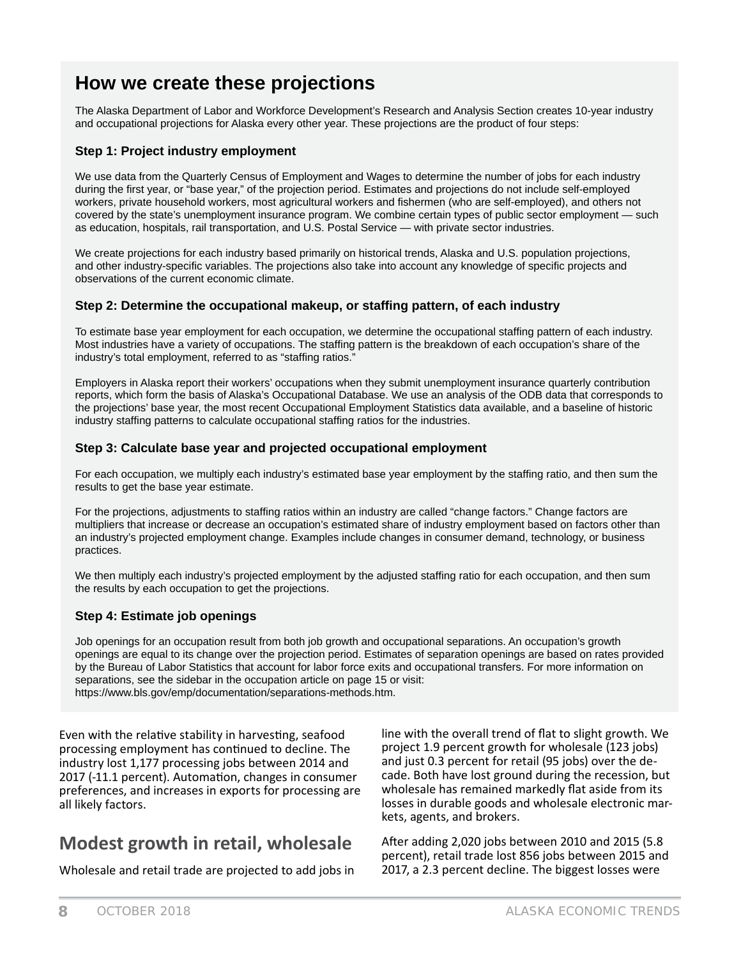# **How we create these projections**

The Alaska Department of Labor and Workforce Development's Research and Analysis Section creates 10-year industry and occupational projections for Alaska every other year. These projections are the product of four steps:

#### **Step 1: Project industry employment**

We use data from the Quarterly Census of Employment and Wages to determine the number of jobs for each industry during the first year, or "base year," of the projection period. Estimates and projections do not include self-employed workers, private household workers, most agricultural workers and fishermen (who are self-employed), and others not covered by the state's unemployment insurance program. We combine certain types of public sector employment — such as education, hospitals, rail transportation, and U.S. Postal Service — with private sector industries.

We create projections for each industry based primarily on historical trends, Alaska and U.S. population projections, and other industry-specific variables. The projections also take into account any knowledge of specific projects and observations of the current economic climate.

#### **Step 2: Determine the occupational makeup, or staffing pattern, of each industry**

To estimate base year employment for each occupation, we determine the occupational staffing pattern of each industry. Most industries have a variety of occupations. The staffing pattern is the breakdown of each occupation's share of the industry's total employment, referred to as "staffing ratios."

Employers in Alaska report their workers' occupations when they submit unemployment insurance quarterly contribution reports, which form the basis of Alaska's Occupational Database. We use an analysis of the ODB data that corresponds to the projections' base year, the most recent Occupational Employment Statistics data available, and a baseline of historic industry staffing patterns to calculate occupational staffing ratios for the industries.

#### **Step 3: Calculate base year and projected occupational employment**

For each occupation, we multiply each industry's estimated base year employment by the staffing ratio, and then sum the results to get the base year estimate.

For the projections, adjustments to staffing ratios within an industry are called "change factors." Change factors are multipliers that increase or decrease an occupation's estimated share of industry employment based on factors other than an industry's projected employment change. Examples include changes in consumer demand, technology, or business practices.

We then multiply each industry's projected employment by the adjusted staffing ratio for each occupation, and then sum the results by each occupation to get the projections.

#### **Step 4: Estimate job openings**

Job openings for an occupation result from both job growth and occupational separations. An occupation's growth openings are equal to its change over the projection period. Estimates of separation openings are based on rates provided by the Bureau of Labor Statistics that account for labor force exits and occupational transfers. For more information on separations, see the sidebar in the occupation article on page 15 or visit: https://www.bls.gov/emp/documentation/separations-methods.htm.

Even with the relative stability in harvesting, seafood processing employment has continued to decline. The industry lost 1,177 processing jobs between 2014 and 2017 (-11.1 percent). Automation, changes in consumer preferences, and increases in exports for processing are all likely factors.

line with the overall trend of flat to slight growth. We project 1.9 percent growth for wholesale (123 jobs) and just 0.3 percent for retail (95 jobs) over the decade. Both have lost ground during the recession, but wholesale has remained markedly flat aside from its losses in durable goods and wholesale electronic markets, agents, and brokers.

# **Modest growth in retail, wholesale**

Wholesale and retail trade are projected to add jobs in

After adding 2,020 jobs between 2010 and 2015 (5.8) percent), retail trade lost 856 jobs between 2015 and 2017, a 2.3 percent decline. The biggest losses were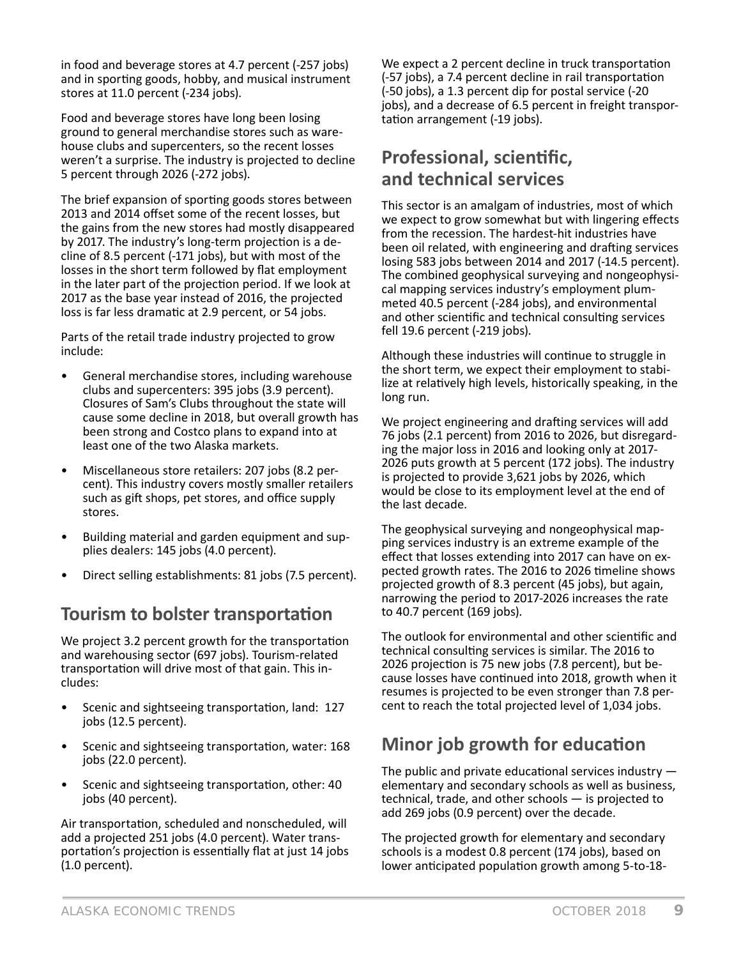in food and beverage stores at 4.7 percent (-257 jobs) and in sporting goods, hobby, and musical instrument stores at 11.0 percent (-234 jobs).

Food and beverage stores have long been losing ground to general merchandise stores such as warehouse clubs and supercenters, so the recent losses weren't a surprise. The industry is projected to decline 5 percent through 2026 (-272 jobs).

The brief expansion of sporting goods stores between 2013 and 2014 offset some of the recent losses, but the gains from the new stores had mostly disappeared by 2017. The industry's long-term projection is a decline of 8.5 percent (-171 jobs), but with most of the losses in the short term followed by flat employment in the later part of the projection period. If we look at 2017 as the base year instead of 2016, the projected loss is far less dramatic at 2.9 percent, or 54 jobs.

Parts of the retail trade industry projected to grow include:

- General merchandise stores, including warehouse clubs and supercenters: 395 jobs (3.9 percent). Closures of Sam's Clubs throughout the state will cause some decline in 2018, but overall growth has been strong and Costco plans to expand into at least one of the two Alaska markets.
- Miscellaneous store retailers: 207 jobs (8.2 percent). This industry covers mostly smaller retailers such as gift shops, pet stores, and office supply stores.
- Building material and garden equipment and supplies dealers: 145 jobs (4.0 percent).
- Direct selling establishments: 81 jobs (7.5 percent).

# **Tourism to bolster transportation**

We project 3.2 percent growth for the transportation and warehousing sector (697 jobs). Tourism-related transportation will drive most of that gain. This includes:

- Scenic and sightseeing transportation, land: 127 jobs (12.5 percent).
- Scenic and sightseeing transportation, water: 168 jobs (22.0 percent).
- Scenic and sightseeing transportation, other: 40 jobs (40 percent).

Air transportation, scheduled and nonscheduled, will add a projected 251 jobs (4.0 percent). Water transportation's projection is essentially flat at just 14 jobs (1.0 percent).

We expect a 2 percent decline in truck transportation (-57 jobs), a 7.4 percent decline in rail transportation (-50 jobs), a 1.3 percent dip for postal service (-20 jobs), and a decrease of 6.5 percent in freight transportation arrangement (-19 jobs).

# **Professional, scientific, and technical services**

This sector is an amalgam of industries, most of which we expect to grow somewhat but with lingering effects from the recession. The hardest-hit industries have been oil related, with engineering and drafting services losing 583 jobs between 2014 and 2017 (-14.5 percent). The combined geophysical surveying and nongeophysical mapping services industry's employment plummeted 40.5 percent (-284 jobs), and environmental and other scientific and technical consulting services fell 19.6 percent (-219 jobs).

Although these industries will continue to struggle in the short term, we expect their employment to stabilize at relatively high levels, historically speaking, in the long run.

We project engineering and drafting services will add 76 jobs (2.1 percent) from 2016 to 2026, but disregarding the major loss in 2016 and looking only at 2017- 2026 puts growth at 5 percent (172 jobs). The industry is projected to provide 3,621 jobs by 2026, which would be close to its employment level at the end of the last decade.

The geophysical surveying and nongeophysical mapping services industry is an extreme example of the effect that losses extending into 2017 can have on expected growth rates. The 2016 to 2026 timeline shows projected growth of 8.3 percent (45 jobs), but again, narrowing the period to 2017-2026 increases the rate to 40.7 percent (169 jobs).

The outlook for environmental and other scientific and technical consulting services is similar. The 2016 to 2026 projection is 75 new jobs (7.8 percent), but because losses have continued into 2018, growth when it resumes is projected to be even stronger than 7.8 percent to reach the total projected level of 1,034 jobs.

# **Minor job growth for education**

The public and private educational services industry  $$ elementary and secondary schools as well as business, technical, trade, and other schools — is projected to add 269 jobs (0.9 percent) over the decade.

The projected growth for elementary and secondary schools is a modest 0.8 percent (174 jobs), based on lower anticipated population growth among 5-to-18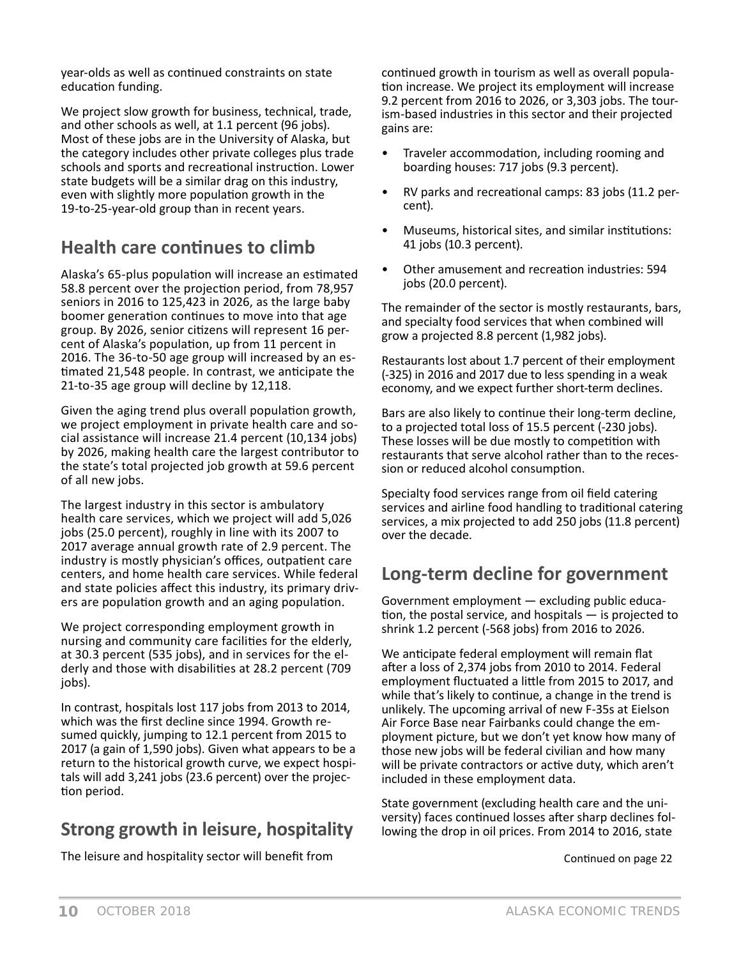year-olds as well as continued constraints on state education funding.

We project slow growth for business, technical, trade, and other schools as well, at 1.1 percent (96 jobs). Most of these jobs are in the University of Alaska, but the category includes other private colleges plus trade schools and sports and recreational instruction. Lower state budgets will be a similar drag on this industry, even with slightly more population growth in the 19-to-25-year-old group than in recent years.

# **Health care continues to climb**

Alaska's 65-plus population will increase an estimated 58.8 percent over the projection period, from 78,957 seniors in 2016 to 125,423 in 2026, as the large baby boomer generation continues to move into that age group. By 2026, senior citizens will represent 16 percent of Alaska's population, up from 11 percent in 2016. The 36-to-50 age group will increased by an estimated 21,548 people. In contrast, we anticipate the 21-to-35 age group will decline by 12,118.

Given the aging trend plus overall population growth, we project employment in private health care and social assistance will increase 21.4 percent (10,134 jobs) by 2026, making health care the largest contributor to the state's total projected job growth at 59.6 percent of all new jobs.

The largest industry in this sector is ambulatory health care services, which we project will add 5,026 jobs (25.0 percent), roughly in line with its 2007 to 2017 average annual growth rate of 2.9 percent. The industry is mostly physician's offices, outpatient care centers, and home health care services. While federal and state policies affect this industry, its primary drivers are population growth and an aging population.

We project corresponding employment growth in nursing and community care facilities for the elderly, at 30.3 percent (535 jobs), and in services for the elderly and those with disabilities at 28.2 percent (709 jobs).

In contrast, hospitals lost 117 jobs from 2013 to 2014, which was the first decline since 1994. Growth resumed quickly, jumping to 12.1 percent from 2015 to 2017 (a gain of 1,590 jobs). Given what appears to be a return to the historical growth curve, we expect hospitals will add 3,241 jobs (23.6 percent) over the projection period.

# **Strong growth in leisure, hospitality**

The leisure and hospitality sector will benefit from

continued growth in tourism as well as overall population increase. We project its employment will increase 9.2 percent from 2016 to 2026, or 3,303 jobs. The tourism-based industries in this sector and their projected gains are:

- Traveler accommodation, including rooming and boarding houses: 717 jobs (9.3 percent).
- RV parks and recreational camps: 83 jobs (11.2 percent).
- Museums, historical sites, and similar institutions: 41 jobs (10.3 percent).
- Other amusement and recreation industries: 594 jobs (20.0 percent).

The remainder of the sector is mostly restaurants, bars, and specialty food services that when combined will grow a projected 8.8 percent (1,982 jobs).

Restaurants lost about 1.7 percent of their employment (-325) in 2016 and 2017 due to less spending in a weak economy, and we expect further short-term declines.

Bars are also likely to continue their long-term decline, to a projected total loss of 15.5 percent (-230 jobs). These losses will be due mostly to competition with restaurants that serve alcohol rather than to the recession or reduced alcohol consumption.

Specialty food services range from oil field catering services and airline food handling to traditional catering services, a mix projected to add 250 jobs (11.8 percent) over the decade.

### **Long-term decline for government**

Government employment — excluding public education, the postal service, and hospitals  $-$  is projected to shrink 1.2 percent (-568 jobs) from 2016 to 2026.

We anticipate federal employment will remain flat after a loss of 2,374 jobs from 2010 to 2014. Federal employment fluctuated a little from 2015 to 2017, and while that's likely to continue, a change in the trend is unlikely. The upcoming arrival of new F-35s at Eielson Air Force Base near Fairbanks could change the employment picture, but we don't yet know how many of those new jobs will be federal civilian and how many will be private contractors or active duty, which aren't included in these employment data.

State government (excluding health care and the university) faces continued losses after sharp declines following the drop in oil prices. From 2014 to 2016, state

Continued on page 22